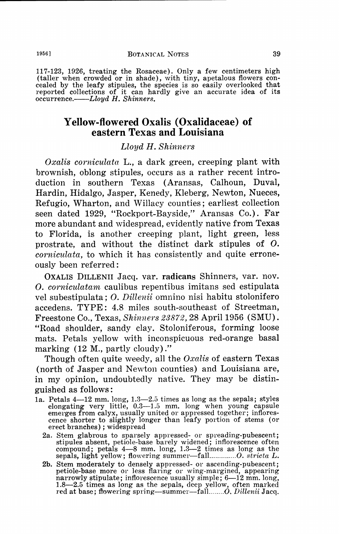117-123, 1926, treating the Rosaceae). Only a few centimeters high (taller when crowded or in shade), with tiny, apetalous flowers concealed by the leafy stipules, the species is so easily overlooked that reported collections of it can hardly give an accurate idea of its<br>occurrence.——*Lloyd H. Shinners*.

## **Yellow-flowered Oxalis (Oxalidaceae) of eastern Texas and Louisiana**

## *Lloyd H. Shinners*

*Oxalis corniculata* L., a dark green, creeping plant with brownish, oblong stipules, occurs as a rather recent introduction in southern Texas (Aransas, Calhoun, Duval, Hardin, Hidalgo, Jasper, Kenedy, Kleberg, Newton, Nueces, Refugio, Wharton, and Willacy counties; earliest collection seen dated 1929, "Rockport-Bayside," Aransas Co.). Far more abundant and widespread, evidently native from Texas to Florida, is another creeping plant, light green, less prostrate, and without the distinct dark stipules of *0. corniculata,* to which it has consistently and quite erroneously been referred:

**OXALIS** DILLENII Jacq. var. **radicans** Shinners, var. nov. **0.** *corniculatam* caulibus repentibus imitans sed estipulata vel subestipulata; *0. Dillenii* omnino nisi habitu stolonifero accedens. TYPE: 4.8 miles south-southeast of Streetman. Freestone Co., Texas, *Shinners 28872,* 28 April 1956 (SMU). "Road shoulder, sandy clay. Stoloniferous, forming loose mats. Petals yellow with inconspicuous red-orange basal marking (12 M., partly cloudy)."

Though often quite weedy, all the *Oxalis* of eastern Texas (north of Jasper and Newton counties) and Louisiana are, in my opinion, undoubtedly native. They may be distinguished as follows :

- la. Petals 4-12 mm. long, 1.3-2.5 times as long as the sepals; styles elongating very little, 0.3-1.5 mm. long when young capsule emerges from calyx, usually united or appressed together; inflorescence shorter to slightly longer than leafy portion of stems ( or erect branches) ; widesprea
	- 2a. Stem glabrous to sparsely appressed- or spreading-pubescent; stipules absent, petiole-base barely widened; inflorescence often compound; petals 4—8 mm. long, 1.3—2 times as long as the<br>sepals, light yellow; flowering summer—fall.............*O. stricta L*.
	- **2b.** Stem moderately to densely appressed- or ascending-pubescent; petiole-base more or less flaring or wing-margined, appearing narrowly stipulate; inflorescence usually simple; 6-12 mm. long, 1.8-2.5 times as long as the sepals, deep yellow, often marked red at base; ftowering spring-summer-fall... ..... O. *Dillenii* Jacq.